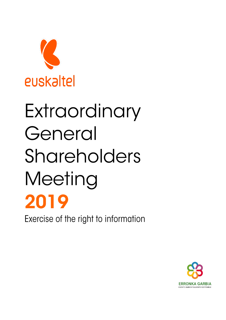

## Extraordinary General Shareholders Meeting 2019

Exercise of the right to information